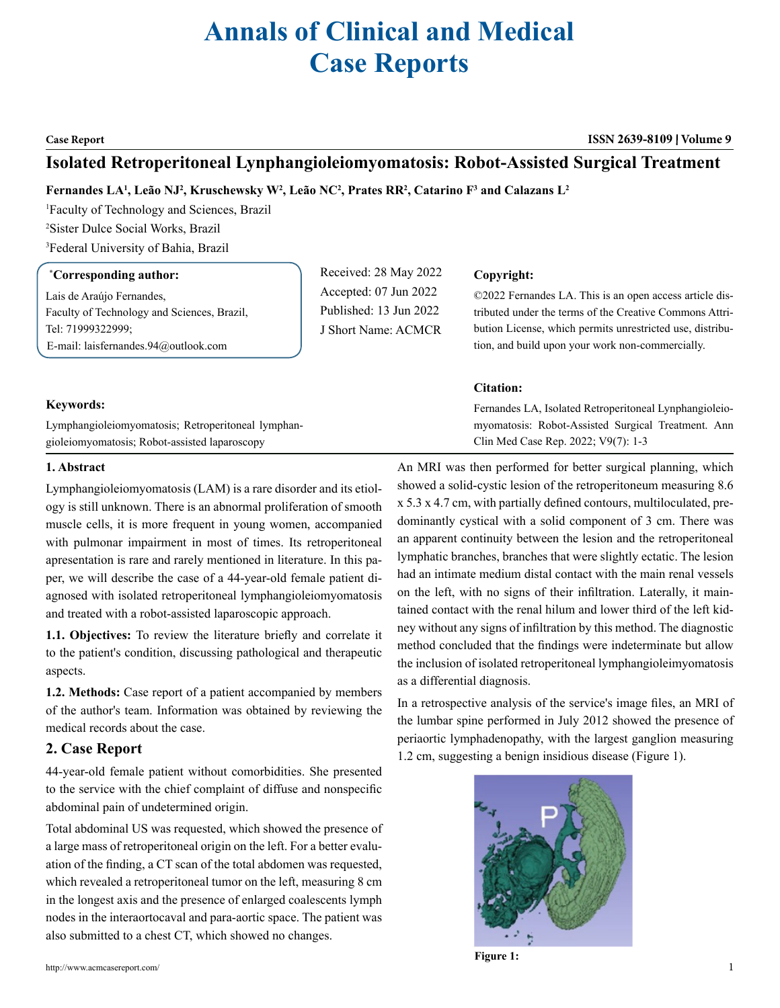# **Annals of Clinical and Medical Case Reports**

## **Case Report ISSN 2639-8109 Volume 9**

# **Isolated Retroperitoneal Lynphangioleiomyomatosis: Robot-Assisted Surgical Treatment**

# **Fernandes LA1 , Leão NJ2 , Kruschewsky W2 , Leão NC2 , Prates RR2 , Catarino F3 and Calazans L2**

1 Faculty of Technology and Sciences, Brazil 2 Sister Dulce Social Works, Brazil 3 Federal University of Bahia, Brazil

# **\* Corresponding author:**

Lais de Araújo Fernandes, Faculty of Technology and Sciences, Brazil, Tel: 71999322999; E-mail: laisfernandes.94@outlook.com

Received: 28 May 2022 Accepted: 07 Jun 2022 Published: 13 Jun 2022 J Short Name: ACMCR

# **Copyright:**

©2022 Fernandes LA. This is an open access article distributed under the terms of the Creative Commons Attribution License, which permits unrestricted use, distribution, and build upon your work non-commercially.

# **Citation:**

Fernandes LA, Isolated Retroperitoneal Lynphangioleiomyomatosis: Robot-Assisted Surgical Treatment. Ann Clin Med Case Rep. 2022; V9(7): 1-3

# **Keywords:**

Lymphangioleiomyomatosis; Retroperitoneal lymphangioleiomyomatosis; Robot-assisted laparoscopy

# **1. Abstract**

Lymphangioleiomyomatosis (LAM) is a rare disorder and its etiology is still unknown. There is an abnormal proliferation of smooth muscle cells, it is more frequent in young women, accompanied with pulmonar impairment in most of times. Its retroperitoneal apresentation is rare and rarely mentioned in literature. In this paper, we will describe the case of a 44-year-old female patient diagnosed with isolated retroperitoneal lymphangioleiomyomatosis and treated with a robot-assisted laparoscopic approach.

**1.1. Objectives:** To review the literature briefly and correlate it to the patient's condition, discussing pathological and therapeutic aspects.

**1.2. Methods:** Case report of a patient accompanied by members of the author's team. Information was obtained by reviewing the medical records about the case.

# **2. Case Report**

44-year-old female patient without comorbidities. She presented to the service with the chief complaint of diffuse and nonspecific abdominal pain of undetermined origin.

Total abdominal US was requested, which showed the presence of a large mass of retroperitoneal origin on the left. For a better evaluation of the finding, a CT scan of the total abdomen was requested, which revealed a retroperitoneal tumor on the left, measuring 8 cm in the longest axis and the presence of enlarged coalescents lymph nodes in the interaortocaval and para-aortic space. The patient was also submitted to a chest CT, which showed no changes.

An MRI was then performed for better surgical planning, which showed a solid-cystic lesion of the retroperitoneum measuring 8.6 x 5.3 x 4.7 cm, with partially defined contours, multiloculated, predominantly cystical with a solid component of 3 cm. There was an apparent continuity between the lesion and the retroperitoneal lymphatic branches, branches that were slightly ectatic. The lesion had an intimate medium distal contact with the main renal vessels on the left, with no signs of their infiltration. Laterally, it maintained contact with the renal hilum and lower third of the left kidney without any signs of infiltration by this method. The diagnostic method concluded that the findings were indeterminate but allow the inclusion of isolated retroperitoneal lymphangioleimyomatosis as a differential diagnosis.

In a retrospective analysis of the service's image files, an MRI of the lumbar spine performed in July 2012 showed the presence of periaortic lymphadenopathy, with the largest ganglion measuring 1.2 cm, suggesting a benign insidious disease (Figure 1).



**Figure 1:**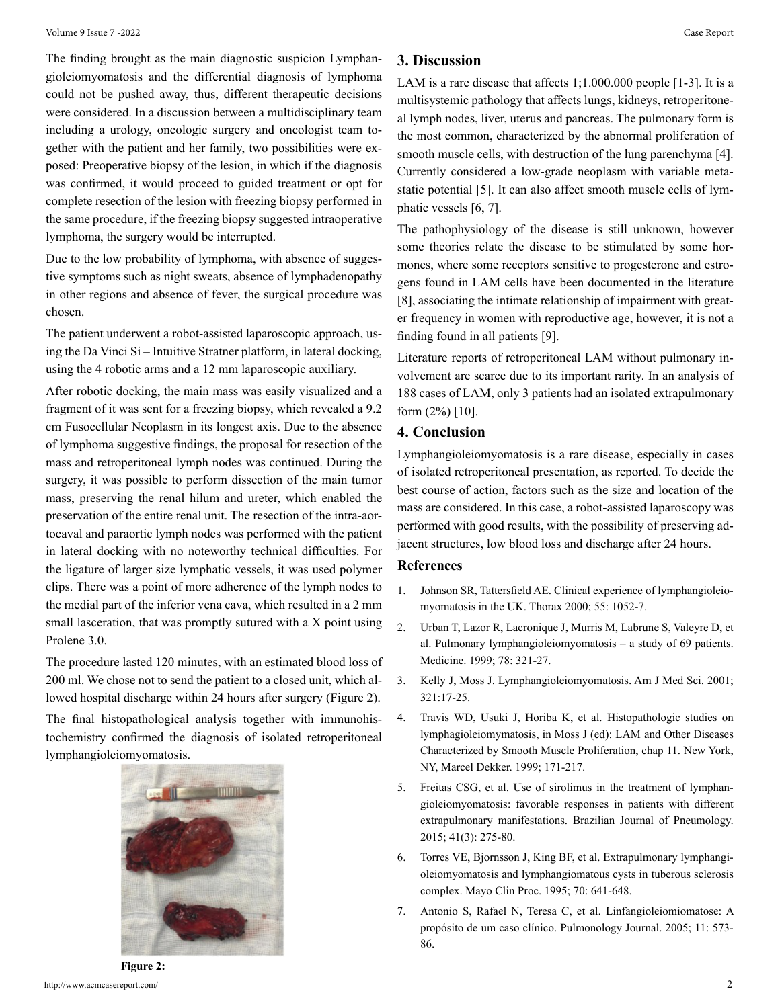The finding brought as the main diagnostic suspicion Lymphangioleiomyomatosis and the differential diagnosis of lymphoma could not be pushed away, thus, different therapeutic decisions were considered. In a discussion between a multidisciplinary team including a urology, oncologic surgery and oncologist team together with the patient and her family, two possibilities were exposed: Preoperative biopsy of the lesion, in which if the diagnosis was confirmed, it would proceed to guided treatment or opt for complete resection of the lesion with freezing biopsy performed in the same procedure, if the freezing biopsy suggested intraoperative lymphoma, the surgery would be interrupted.

Due to the low probability of lymphoma, with absence of suggestive symptoms such as night sweats, absence of lymphadenopathy in other regions and absence of fever, the surgical procedure was chosen.

The patient underwent a robot-assisted laparoscopic approach, using the Da Vinci Si – Intuitive Stratner platform, in lateral docking, using the 4 robotic arms and a 12 mm laparoscopic auxiliary.

After robotic docking, the main mass was easily visualized and a fragment of it was sent for a freezing biopsy, which revealed a 9.2 cm Fusocellular Neoplasm in its longest axis. Due to the absence of lymphoma suggestive findings, the proposal for resection of the mass and retroperitoneal lymph nodes was continued. During the surgery, it was possible to perform dissection of the main tumor mass, preserving the renal hilum and ureter, which enabled the preservation of the entire renal unit. The resection of the intra-aortocaval and paraortic lymph nodes was performed with the patient in lateral docking with no noteworthy technical difficulties. For the ligature of larger size lymphatic vessels, it was used polymer clips. There was a point of more adherence of the lymph nodes to the medial part of the inferior vena cava, which resulted in a 2 mm small lasceration, that was promptly sutured with a X point using Prolene 3.0.

The procedure lasted 120 minutes, with an estimated blood loss of 200 ml. We chose not to send the patient to a closed unit, which allowed hospital discharge within 24 hours after surgery (Figure 2).

The final histopathological analysis together with immunohistochemistry confirmed the diagnosis of isolated retroperitoneal lymphangioleiomyomatosis.



# **3. Discussion**

LAM is a rare disease that affects 1;1.000.000 people [1-3]. It is a multisystemic pathology that affects lungs, kidneys, retroperitoneal lymph nodes, liver, uterus and pancreas. The pulmonary form is the most common, characterized by the abnormal proliferation of smooth muscle cells, with destruction of the lung parenchyma [4]. Currently considered a low-grade neoplasm with variable metastatic potential [5]. It can also affect smooth muscle cells of lymphatic vessels [6, 7].

The pathophysiology of the disease is still unknown, however some theories relate the disease to be stimulated by some hormones, where some receptors sensitive to progesterone and estrogens found in LAM cells have been documented in the literature [8], associating the intimate relationship of impairment with greater frequency in women with reproductive age, however, it is not a finding found in all patients [9].

Literature reports of retroperitoneal LAM without pulmonary involvement are scarce due to its important rarity. In an analysis of 188 cases of LAM, only 3 patients had an isolated extrapulmonary form (2%) [10].

# **4. Conclusion**

Lymphangioleiomyomatosis is a rare disease, especially in cases of isolated retroperitoneal presentation, as reported. To decide the best course of action, factors such as the size and location of the mass are considered. In this case, a robot-assisted laparoscopy was performed with good results, with the possibility of preserving adjacent structures, low blood loss and discharge after 24 hours.

# **References**

- 1. [Johnson SR, Tattersfield AE. Clinical experience of lymphang](https://pubmed.ncbi.nlm.nih.gov/11083892/)ioleio[myomatosis in the UK. Thorax 2000; 55: 1052-7.](https://pubmed.ncbi.nlm.nih.gov/11083892/)
- 2. [Urban T, Lazor R, Lacronique J, Murris M, Labrune S, Valeyre D, et](https://pubmed.ncbi.nlm.nih.gov/10499073/)  [al. Pulmonary lymphangioleiomyomatosis – a study of 69 patients.](https://pubmed.ncbi.nlm.nih.gov/10499073/) [Medicine. 1999; 78: 321-27.](https://pubmed.ncbi.nlm.nih.gov/10499073/)
- 3. [Kelly J, Moss J. Lymphangioleiomyomatosis. Am J Med Sci. 2001;](https://www.amjmedsci.com/article/S0002-9629(15)34719-4/fulltext) [321:17-25.](https://www.amjmedsci.com/article/S0002-9629(15)34719-4/fulltext)
- 4. Travis WD, Usuki J, Horiba K, et al. Histopathologic studies on lymphagioleiomymatosis, in Moss J (ed): LAM and Other Diseases Characterized by Smooth Muscle Proliferation, chap 11. New York, NY, Marcel Dekker. 1999; 171-217.
- 5. [Freitas CSG, et al. Use of sirolimus in the treatment of lymphan](https://www.ncbi.nlm.nih.gov/pmc/articles/PMC4541764/)[gioleiomyomatosis: favorable responses in patients with different](https://www.ncbi.nlm.nih.gov/pmc/articles/PMC4541764/) [extrapulmonary manifestations. Brazilian Journal of Pneumology.](https://www.ncbi.nlm.nih.gov/pmc/articles/PMC4541764/)  [2015; 41\(3\): 275-80.](https://www.ncbi.nlm.nih.gov/pmc/articles/PMC4541764/)
- 6. [Torres VE, Bjornsson J, King BF, et al. Extrapulmonary lymphangi](https://pubmed.ncbi.nlm.nih.gov/7791386/)[oleiomyomatosis and lymphangiomatous cysts in tuberous sclerosis](https://pubmed.ncbi.nlm.nih.gov/7791386/) [complex. Mayo Clin Proc. 1995; 70: 641-648.](https://pubmed.ncbi.nlm.nih.gov/7791386/)
- 7. [Antonio S, Rafael N, Teresa C, et al. Linfangioleiomiomatose: A](https://www.journalpulmonology.org/pt-linfangioleiomiomatose-a-proposito-um-caso-articulo-S0873215915305250) [propósito de um caso clínico. Pulmonology Journal. 2005; 11: 573-](https://www.journalpulmonology.org/pt-linfangioleiomiomatose-a-proposito-um-caso-articulo-S0873215915305250) [86.](https://www.journalpulmonology.org/pt-linfangioleiomiomatose-a-proposito-um-caso-articulo-S0873215915305250)

http://www.acmcasereport.com/ 2 **Figure 2:**